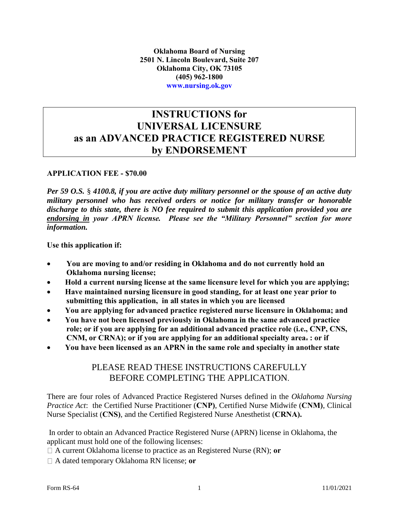### **INSTRUCTIONS for UNIVERSAL LICENSURE as an ADVANCED PRACTICE REGISTERED NURSE by ENDORSEMENT**

#### **APPLICATION FEE - \$70.00**

*Per 59 O.S.* § *4100.8, if you are active duty military personnel or the spouse of an active duty military personnel who has received orders or notice for military transfer or honorable discharge to this state, there is NO fee required to submit this application provided you are endorsing in your APRN license. Please see the "Military Personnel" section for more information.* 

**Use this application if:**

- **You are moving to and/or residing in Oklahoma and do not currently hold an Oklahoma nursing license;**
- **Hold a current nursing license at the same licensure level for which you are applying;**
- **Have maintained nursing licensure in good standing, for at least one year prior to submitting this application, in all states in which you are licensed**
- **You are applying for advanced practice registered nurse licensure in Oklahoma; and**
- **You have not been licensed previously in Oklahoma in the same advanced practice role; or if you are applying for an additional advanced practice role (i.e., CNP, CNS, CNM, or CRNA); or if you are applying for an additional specialty area. : or if**
- **You have been licensed as an APRN in the same role and specialty in another state**

### PLEASE READ THESE INSTRUCTIONS CAREFULLY BEFORE COMPLETING THE APPLICATION.

There are four roles of Advanced Practice Registered Nurses defined in the *Oklahoma Nursing Practice Act*: the Certified Nurse Practitioner (**CNP)**, Certified Nurse Midwife (**CNM)**, Clinical Nurse Specialist (**CNS)**, and the Certified Registered Nurse Anesthetist (**CRNA).** 

In order to obtain an Advanced Practice Registered Nurse (APRN) license in Oklahoma, the applicant must hold one of the following licenses:

A current Oklahoma license to practice as an Registered Nurse (RN); **or** 

A dated temporary Oklahoma RN license; **or**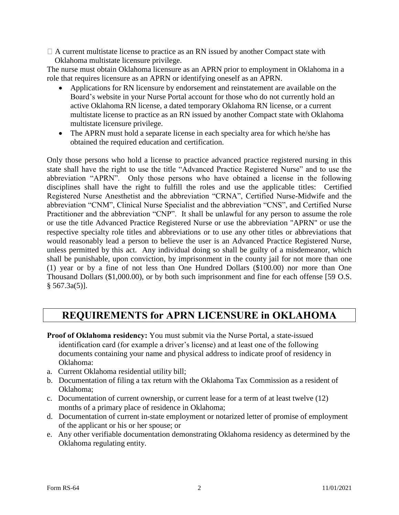$\Box$  A current multistate license to practice as an RN issued by another Compact state with Oklahoma multistate licensure privilege.

The nurse must obtain Oklahoma licensure as an APRN prior to employment in Oklahoma in a role that requires licensure as an APRN or identifying oneself as an APRN.

- Applications for RN licensure by endorsement and reinstatement are available on the Board's website in your Nurse Portal account for those who do not currently hold an active Oklahoma RN license, a dated temporary Oklahoma RN license, or a current multistate license to practice as an RN issued by another Compact state with Oklahoma multistate licensure privilege.
- The APRN must hold a separate license in each specialty area for which he/she has obtained the required education and certification.

Only those persons who hold a license to practice advanced practice registered nursing in this state shall have the right to use the title "Advanced Practice Registered Nurse" and to use the abbreviation "APRN". Only those persons who have obtained a license in the following disciplines shall have the right to fulfill the roles and use the applicable titles: Certified Registered Nurse Anesthetist and the abbreviation "CRNA", Certified Nurse-Midwife and the abbreviation "CNM", Clinical Nurse Specialist and the abbreviation "CNS", and Certified Nurse Practitioner and the abbreviation "CNP". It shall be unlawful for any person to assume the role or use the title Advanced Practice Registered Nurse or use the abbreviation "APRN" or use the respective specialty role titles and abbreviations or to use any other titles or abbreviations that would reasonably lead a person to believe the user is an Advanced Practice Registered Nurse, unless permitted by this act. Any individual doing so shall be guilty of a misdemeanor, which shall be punishable, upon conviction, by imprisonment in the county jail for not more than one (1) year or by a fine of not less than One Hundred Dollars (\$100.00) nor more than One Thousand Dollars (\$1,000.00), or by both such imprisonment and fine for each offense [59 O.S.  $§ 567.3a(5)$ .

## **REQUIREMENTS for APRN LICENSURE in OKLAHOMA**

- **Proof of Oklahoma residency:** You must submit via the Nurse Portal, a state-issued identification card (for example a driver's license) and at least one of the following documents containing your name and physical address to indicate proof of residency in Oklahoma:
- a. Current Oklahoma residential utility bill;
- b. Documentation of filing a tax return with the Oklahoma Tax Commission as a resident of Oklahoma;
- c. Documentation of current ownership, or current lease for a term of at least twelve (12) months of a primary place of residence in Oklahoma;
- d. Documentation of current in-state employment or notarized letter of promise of employment of the applicant or his or her spouse; or
- e. Any other verifiable documentation demonstrating Oklahoma residency as determined by the Oklahoma regulating entity.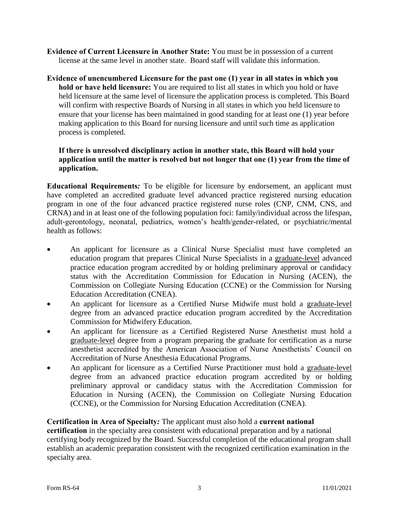- **Evidence of Current Licensure in Another State:** You must be in possession of a current license at the same level in another state. Board staff will validate this information.
- **Evidence of unencumbered Licensure for the past one (1) year in all states in which you hold or have held licensure:** You are required to list all states in which you hold or have held licensure at the same level of licensure the application process is completed. This Board will confirm with respective Boards of Nursing in all states in which you held licensure to ensure that your license has been maintained in good standing for at least one (1) year before making application to this Board for nursing licensure and until such time as application process is completed.

#### **If there is unresolved disciplinary action in another state, this Board will hold your application until the matter is resolved but not longer that one (1) year from the time of application.**

**Educational Requirements***:* To be eligible for licensure by endorsement, an applicant must have completed an accredited graduate level advanced practice registered nursing education program in one of the four advanced practice registered nurse roles (CNP, CNM, CNS, and CRNA) and in at least one of the following population foci: family/individual across the lifespan, adult-gerontology, neonatal, pediatrics, women's health/gender-related, or psychiatric/mental health as follows:

- An applicant for licensure as a Clinical Nurse Specialist must have completed an education program that prepares Clinical Nurse Specialists in a graduate-level advanced practice education program accredited by or holding preliminary approval or candidacy status with the Accreditation Commission for Education in Nursing (ACEN), the Commission on Collegiate Nursing Education (CCNE) or the Commission for Nursing Education Accreditation (CNEA).
- An applicant for licensure as a Certified Nurse Midwife must hold a graduate-level degree from an advanced practice education program accredited by the Accreditation Commission for Midwifery Education.
- An applicant for licensure as a Certified Registered Nurse Anesthetist must hold a graduate-level degree from a program preparing the graduate for certification as a nurse anesthetist accredited by the American Association of Nurse Anesthetists' Council on Accreditation of Nurse Anesthesia Educational Programs.
- An applicant for licensure as a Certified Nurse Practitioner must hold a graduate-level degree from an advanced practice education program accredited by or holding preliminary approval or candidacy status with the Accreditation Commission for Education in Nursing (ACEN), the Commission on Collegiate Nursing Education (CCNE), or the Commission for Nursing Education Accreditation (CNEA).

#### **Certification in Area of Specialty***:* The applicant must also hold a **current national**

**certification** in the specialty area consistent with educational preparation and by a national certifying body recognized by the Board. Successful completion of the educational program shall establish an academic preparation consistent with the recognized certification examination in the specialty area.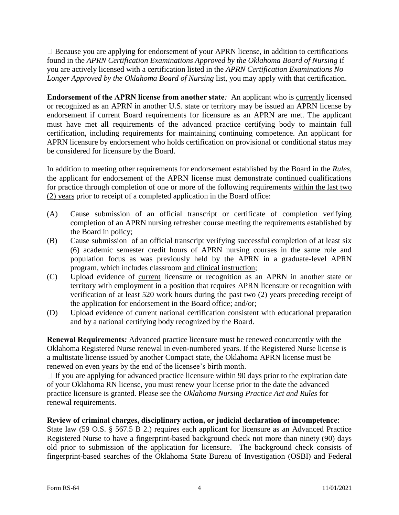$\Box$  Because you are applying for endorsement of your APRN license, in addition to certifications found in the *APRN Certification Examinations Approved by the Oklahoma Board of Nursing* if you are actively licensed with a certification listed in the *APRN Certification Examinations No Longer Approved by the Oklahoma Board of Nursing* list, you may apply with that certification.

**Endorsement of the APRN license from another state***:* An applicant who is currently licensed or recognized as an APRN in another U.S. state or territory may be issued an APRN license by endorsement if current Board requirements for licensure as an APRN are met. The applicant must have met all requirements of the advanced practice certifying body to maintain full certification, including requirements for maintaining continuing competence. An applicant for APRN licensure by endorsement who holds certification on provisional or conditional status may be considered for licensure by the Board.

In addition to meeting other requirements for endorsement established by the Board in the *Rules*, the applicant for endorsement of the APRN license must demonstrate continued qualifications for practice through completion of one or more of the following requirements within the last two (2) years prior to receipt of a completed application in the Board office:

- (A) Cause submission of an official transcript or certificate of completion verifying completion of an APRN nursing refresher course meeting the requirements established by the Board in policy;
- (B) Cause submission of an official transcript verifying successful completion of at least six (6) academic semester credit hours of APRN nursing courses in the same role and population focus as was previously held by the APRN in a graduate-level APRN program, which includes classroom and clinical instruction;
- (C) Upload evidence of current licensure or recognition as an APRN in another state or territory with employment in a position that requires APRN licensure or recognition with verification of at least 520 work hours during the past two (2) years preceding receipt of the application for endorsement in the Board office; and/or;
- (D) Upload evidence of current national certification consistent with educational preparation and by a national certifying body recognized by the Board.

**Renewal Requirements***:* Advanced practice licensure must be renewed concurrently with the Oklahoma Registered Nurse renewal in even-numbered years. If the Registered Nurse license is a multistate license issued by another Compact state, the Oklahoma APRN license must be renewed on even years by the end of the licensee's birth month.

 $\Box$  If you are applying for advanced practice licensure within 90 days prior to the expiration date of your Oklahoma RN license, you must renew your license prior to the date the advanced practice licensure is granted. Please see the *Oklahoma Nursing Practice Act and Rules* for renewal requirements.

#### **Review of criminal charges, disciplinary action, or judicial declaration of incompetence**:

State law (59 O.S. § 567.5 B 2.) requires each applicant for licensure as an Advanced Practice Registered Nurse to have a fingerprint-based background check not more than ninety (90) days old prior to submission of the application for licensure. The background check consists of fingerprint-based searches of the Oklahoma State Bureau of Investigation (OSBI) and Federal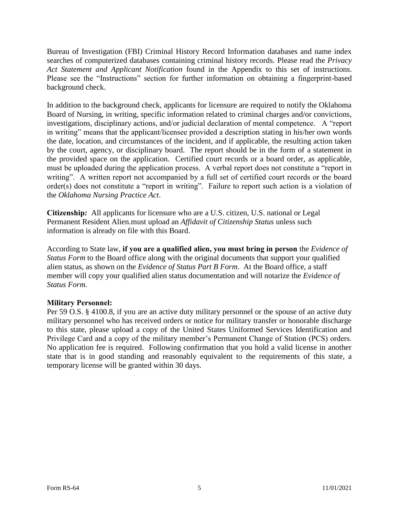Bureau of Investigation (FBI) Criminal History Record Information databases and name index searches of computerized databases containing criminal history records. Please read the *Privacy Act Statement and Applicant Notification* found in the Appendix to this set of instructions. Please see the "Instructions" section for further information on obtaining a fingerprint-based background check.

In addition to the background check, applicants for licensure are required to notify the Oklahoma Board of Nursing, in writing, specific information related to criminal charges and/or convictions, investigations, disciplinary actions, and/or judicial declaration of mental competence. A "report in writing" means that the applicant/licensee provided a description stating in his/her own words the date, location, and circumstances of the incident, and if applicable, the resulting action taken by the court, agency, or disciplinary board. The report should be in the form of a statement in the provided space on the application. Certified court records or a board order, as applicable, must be uploaded during the application process. A verbal report does not constitute a "report in writing". A written report not accompanied by a full set of certified court records or the board order(s) does not constitute a "report in writing". Failure to report such action is a violation of the *Oklahoma Nursing Practice Act*.

**Citizenship***:* All applicants for licensure who are a U.S. citizen, U.S. national or Legal Permanent Resident Alien.must upload an *Affidavit of Citizenship Status* unless such information is already on file with this Board.

According to State law, **if you are a qualified alien, you must bring in person** the *Evidence of Status Form* to the Board office along with the original documents that support your qualified alien status, as shown on the *Evidence of Status Part B Form*. At the Board office, a staff member will copy your qualified alien status documentation and will notarize the *Evidence of Status Form.*

#### **Military Personnel:**

Per 59 O.S. § 4100.8, if you are an active duty military personnel or the spouse of an active duty military personnel who has received orders or notice for military transfer or honorable discharge to this state, please upload a copy of the United States Uniformed Services Identification and Privilege Card and a copy of the military member's Permanent Change of Station (PCS) orders. No application fee is required. Following confirmation that you hold a valid license in another state that is in good standing and reasonably equivalent to the requirements of this state, a temporary license will be granted within 30 days.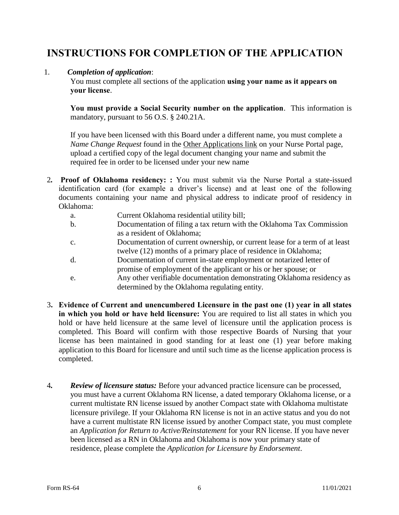## **INSTRUCTIONS FOR COMPLETION OF THE APPLICATION**

#### 1. *Completion of application*:

You must complete all sections of the application **using your name as it appears on your license**.

**You must provide a Social Security number on the application**. This information is mandatory, pursuant to 56 O.S. § 240.21A.

If you have been licensed with this Board under a different name, you must complete a *Name Change Request* found in the Other Applications link on your Nurse Portal page, upload a certified copy of the legal document changing your name and submit the required fee in order to be licensed under your new name

- 2*.* **Proof of Oklahoma residency: :** You must submit via the Nurse Portal a state-issued identification card (for example a driver's license) and at least one of the following documents containing your name and physical address to indicate proof of residency in Oklahoma:
	- a. Current Oklahoma residential utility bill;
	- b. Documentation of filing a tax return with the Oklahoma Tax Commission as a resident of Oklahoma;
	- c. Documentation of current ownership, or current lease for a term of at least twelve (12) months of a primary place of residence in Oklahoma;
	- d. Documentation of current in-state employment or notarized letter of promise of employment of the applicant or his or her spouse; or
	- e. Any other verifiable documentation demonstrating Oklahoma residency as determined by the Oklahoma regulating entity.
- 3**. Evidence of Current and unencumbered Licensure in the past one (1) year in all states in which you hold or have held licensure:** You are required to list all states in which you hold or have held licensure at the same level of licensure until the application process is completed. This Board will confirm with those respective Boards of Nursing that your license has been maintained in good standing for at least one (1) year before making application to this Board for licensure and until such time as the license application process is completed.
- 4*. Review of licensure status:* Before your advanced practice licensure can be processed, you must have a current Oklahoma RN license, a dated temporary Oklahoma license, or a current multistate RN license issued by another Compact state with Oklahoma multistate licensure privilege. If your Oklahoma RN license is not in an active status and you do not have a current multistate RN license issued by another Compact state, you must complete an *Application for Return to Active/Reinstatement* for your RN license. If you have never been licensed as a RN in Oklahoma and Oklahoma is now your primary state of residence, please complete the *Application for Licensure by Endorsement*.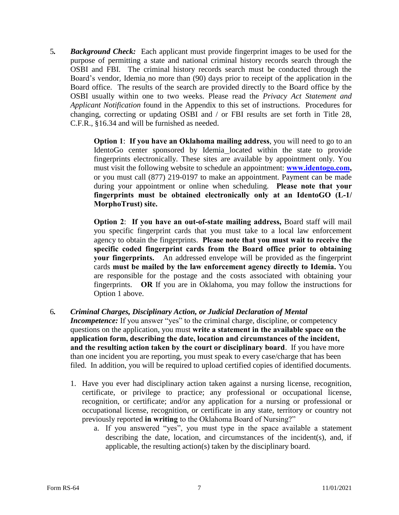5*. Background Check:* Each applicant must provide fingerprint images to be used for the purpose of permitting a state and national criminal history records search through the OSBI and FBI. The criminal history records search must be conducted through the Board's vendor, Idemia no more than (90) days prior to receipt of the application in the Board office. The results of the search are provided directly to the Board office by the OSBI usually within one to two weeks. Please read the *Privacy Act Statement and Applicant Notification* found in the Appendix to this set of instructions. Procedures for changing, correcting or updating OSBI and / or FBI results are set forth in Title 28, C.F.R., §16.34 and will be furnished as needed.

> **Option 1**: **If you have an Oklahoma mailing address**, you will need to go to an IdentoGo center sponsored by Idemia located within the state to provide fingerprints electronically. These sites are available by appointment only. You must visit the following website to schedule an appointment: **[www.identogo.com,](http://www.identogo.com/)** or you must call (877) 219-0197 to make an appointment. Payment can be made during your appointment or online when scheduling. **Please note that your fingerprints must be obtained electronically only at an IdentoGO (L-1/ MorphoTrust) site.**

> **Option 2**: **If you have an out-of-state mailing address,** Board staff will mail you specific fingerprint cards that you must take to a local law enforcement agency to obtain the fingerprints. **Please note that you must wait to receive the specific coded fingerprint cards from the Board office prior to obtaining your fingerprints.** An addressed envelope will be provided as the fingerprint cards **must be mailed by the law enforcement agency directly to Idemia.** You are responsible for the postage and the costs associated with obtaining your fingerprints. **OR** If you are in Oklahoma, you may follow the instructions for Option 1 above.

6*. Criminal Charges, Disciplinary Action, or Judicial Declaration of Mental* 

*Incompetence:* If you answer "yes" to the criminal charge, discipline, or competency questions on the application, you must **write a statement in the available space on the application form, describing the date, location and circumstances of the incident, and the resulting action taken by the court or disciplinary board**. If you have more than one incident you are reporting, you must speak to every case/charge that has been filed. In addition, you will be required to upload certified copies of identified documents.

- 1. Have you ever had disciplinary action taken against a nursing license, recognition, certificate, or privilege to practice; any professional or occupational license, recognition, or certificate; and/or any application for a nursing or professional or occupational license, recognition, or certificate in any state, territory or country not previously reported **in writing** to the Oklahoma Board of Nursing?"
	- a. If you answered "yes", you must type in the space available a statement describing the date, location, and circumstances of the incident(s), and, if applicable, the resulting action(s) taken by the disciplinary board.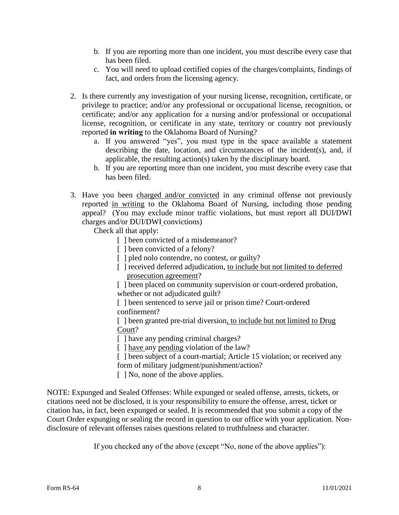- b. If you are reporting more than one incident, you must describe every case that has been filed.
- c. You will need to upload certified copies of the charges/complaints, findings of fact, and orders from the licensing agency.
- 2. Is there currently any investigation of your nursing license, recognition, certificate, or privilege to practice; and/or any professional or occupational license, recognition, or certificate; and/or any application for a nursing and/or professional or occupational license, recognition, or certificate in any state, territory or country not previously reported **in writing** to the Oklahoma Board of Nursing?
	- a. If you answered "yes", you must type in the space available a statement describing the date, location, and circumstances of the incident(s), and, if applicable, the resulting action(s) taken by the disciplinary board.
	- b. If you are reporting more than one incident, you must describe every case that has been filed.
- 3. Have you been charged and/or convicted in any criminal offense not previously reported in writing to the Oklahoma Board of Nursing, including those pending appeal? (You may exclude minor traffic violations, but must report all DUI/DWI charges and/or DUI/DWI convictions)

Check all that apply:

- [ ] been convicted of a misdemeanor?
- [ ] been convicted of a felony?
- [ ] pled nolo contendre, no contest, or guilty?
- [ ] received deferred adjudication, to include but not limited to deferred prosecution agreement?

[] been placed on community supervision or court-ordered probation, whether or not adjudicated guilt?

[ ] been sentenced to serve jail or prison time? Court-ordered confinement?

[ ] been granted pre-trial diversion, to include but not limited to Drug Court?

[ ] have any pending criminal charges?

[ ] have any pending violation of the law?

[ ] been subject of a court-martial; Article 15 violation; or received any form of military judgment/punishment/action?

[ ] No, none of the above applies.

NOTE: Expunged and Sealed Offenses: While expunged or sealed offense, arrests, tickets, or citations need not be disclosed, it is your responsibility to ensure the offense, arrest, ticket or citation has, in fact, been expunged or sealed. It is recommended that you submit a copy of the Court Order expunging or sealing the record in question to our office with your application. Nondisclosure of relevant offenses raises questions related to truthfulness and character.

If you checked any of the above (except "No, none of the above applies"):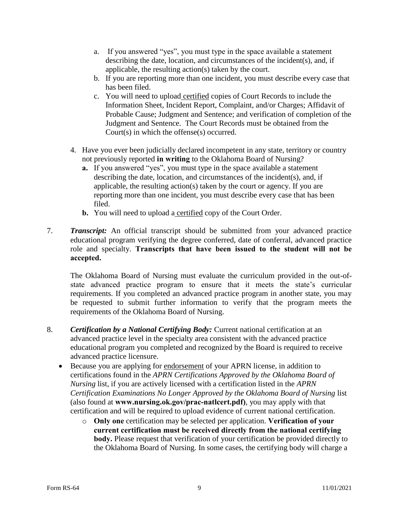- a. If you answered "yes", you must type in the space available a statement describing the date, location, and circumstances of the incident(s), and, if applicable, the resulting action(s) taken by the court.
- b. If you are reporting more than one incident, you must describe every case that has been filed.
- c. You will need to upload certified copies of Court Records to include the Information Sheet, Incident Report, Complaint, and/or Charges; Affidavit of Probable Cause; Judgment and Sentence; and verification of completion of the Judgment and Sentence. The Court Records must be obtained from the Court(s) in which the offense(s) occurred.
- 4. Have you ever been judicially declared incompetent in any state, territory or country not previously reported **in writing** to the Oklahoma Board of Nursing?
	- **a.** If you answered "yes", you must type in the space available a statement describing the date, location, and circumstances of the incident(s), and, if applicable, the resulting action(s) taken by the court or agency. If you are reporting more than one incident, you must describe every case that has been filed.
	- **b.** You will need to upload a certified copy of the Court Order.
- 7. *Transcript:* An official transcript should be submitted from your advanced practice educational program verifying the degree conferred, date of conferral, advanced practice role and specialty. **Transcripts that have been issued to the student will not be accepted.**

The Oklahoma Board of Nursing must evaluate the curriculum provided in the out-ofstate advanced practice program to ensure that it meets the state's curricular requirements. If you completed an advanced practice program in another state, you may be requested to submit further information to verify that the program meets the requirements of the Oklahoma Board of Nursing.

- 8. *Certification by a National Certifying Body:* Current national certification at an advanced practice level in the specialty area consistent with the advanced practice educational program you completed and recognized by the Board is required to receive advanced practice licensure.
	- Because you are applying for endorsement of your APRN license, in addition to certifications found in the *APRN Certifications Approved by the Oklahoma Board of Nursing* list, if you are actively licensed with a certification listed in the *APRN Certification Examinations No Longer Approved by the Oklahoma Board of Nursing list* (also found at **www.nursing.ok.gov/prac-natlcert.pdf)**, you may apply with that certification and will be required to upload evidence of current national certification.
		- o **Only one** certification may be selected per application. **Verification of your current certification must be received directly from the national certifying body.** Please request that verification of your certification be provided directly to the Oklahoma Board of Nursing. In some cases, the certifying body will charge a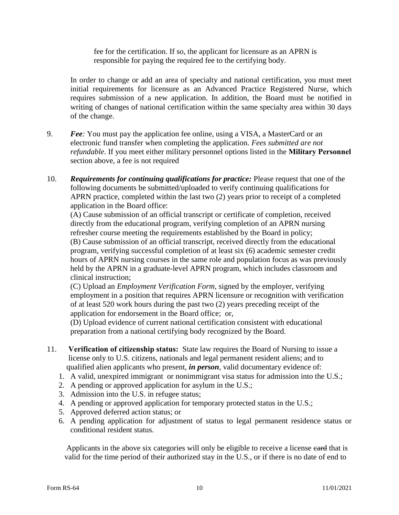fee for the certification. If so, the applicant for licensure as an APRN is responsible for paying the required fee to the certifying body.

In order to change or add an area of specialty and national certification, you must meet initial requirements for licensure as an Advanced Practice Registered Nurse, which requires submission of a new application. In addition, the Board must be notified in writing of changes of national certification within the same specialty area within 30 days of the change.

- 9. *Fee:* You must pay the application fee online, using a VISA, a MasterCard or an electronic fund transfer when completing the application. *Fees submitted are not refundable*. If you meet either military personnel options listed in the **Military Personnel** section above, a fee is not required
- 10. *Requirements for continuing qualifications for practice:* Please request that one of the following documents be submitted/uploaded to verify continuing qualifications for APRN practice, completed within the last two (2) years prior to receipt of a completed application in the Board office:

(A) Cause submission of an official transcript or certificate of completion, received directly from the educational program, verifying completion of an APRN nursing refresher course meeting the requirements established by the Board in policy; (B) Cause submission of an official transcript, received directly from the educational program, verifying successful completion of at least six (6) academic semester credit hours of APRN nursing courses in the same role and population focus as was previously held by the APRN in a graduate-level APRN program, which includes classroom and clinical instruction;

(C) Upload an *Employment Verification Form*, signed by the employer, verifying employment in a position that requires APRN licensure or recognition with verification of at least 520 work hours during the past two (2) years preceding receipt of the application for endorsement in the Board office; or,

(D) Upload evidence of current national certification consistent with educational preparation from a national certifying body recognized by the Board.

- 11. **Verification of citizenship status:** State law requires the Board of Nursing to issue a license only to U.S. citizens, nationals and legal permanent resident aliens; and to qualified alien applicants who present, *in person*, valid documentary evidence of:
	- 1. A valid, unexpired immigrant or nonimmigrant visa status for admission into the U.S.;
	- 2. A pending or approved application for asylum in the U.S.;
	- 3. Admission into the U.S. in refugee status;
	- 4. A pending or approved application for temporary protected status in the U.S.;
	- 5. Approved deferred action status; or
	- 6. A pending application for adjustment of status to legal permanent residence status or conditional resident status.

Applicants in the above six categories will only be eligible to receive a license eard that is valid for the time period of their authorized stay in the U.S., or if there is no date of end to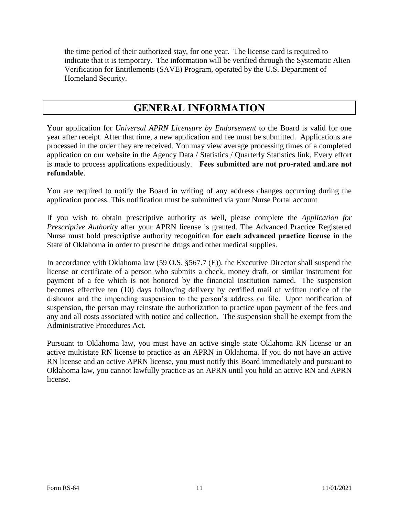the time period of their authorized stay, for one year. The license eard is required to indicate that it is temporary. The information will be verified through the Systematic Alien Verification for Entitlements (SAVE) Program, operated by the U.S. Department of Homeland Security.

### **GENERAL INFORMATION**

Your application for *Universal APRN Licensure by Endorsement* to the Board is valid for one year after receipt. After that time, a new application and fee must be submitted. Applications are processed in the order they are received. You may view average processing times of a completed application on our website in the Agency Data / Statistics / Quarterly Statistics link. Every effort is made to process applications expeditiously. **Fees submitted are not pro-rated and**.**are not refundable**.

You are required to notify the Board in writing of any address changes occurring during the application process. This notification must be submitted via your Nurse Portal account

If you wish to obtain prescriptive authority as well, please complete the *Application for Prescriptive Authority* after your APRN license is granted. The Advanced Practice Registered Nurse must hold prescriptive authority recognition **for each advanced practice license** in the State of Oklahoma in order to prescribe drugs and other medical supplies.

In accordance with Oklahoma law (59 O.S. §567.7 (E)), the Executive Director shall suspend the license or certificate of a person who submits a check, money draft, or similar instrument for payment of a fee which is not honored by the financial institution named. The suspension becomes effective ten (10) days following delivery by certified mail of written notice of the dishonor and the impending suspension to the person's address on file. Upon notification of suspension, the person may reinstate the authorization to practice upon payment of the fees and any and all costs associated with notice and collection. The suspension shall be exempt from the Administrative Procedures Act.

Pursuant to Oklahoma law, you must have an active single state Oklahoma RN license or an active multistate RN license to practice as an APRN in Oklahoma. If you do not have an active RN license and an active APRN license, you must notify this Board immediately and pursuant to Oklahoma law, you cannot lawfully practice as an APRN until you hold an active RN and APRN license.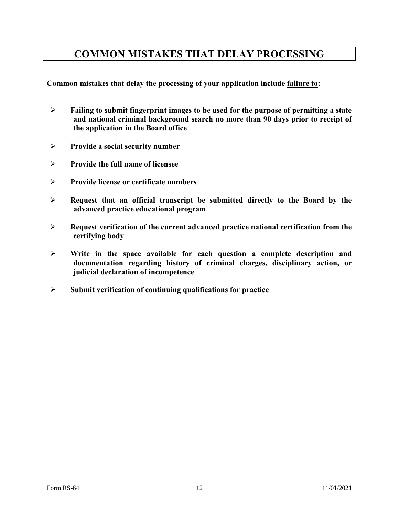### **COMMON MISTAKES THAT DELAY PROCESSING**

**Common mistakes that delay the processing of your application include failure to:**

- **Failing to submit fingerprint images to be used for the purpose of permitting a state and national criminal background search no more than 90 days prior to receipt of the application in the Board office**
- **Provide a social security number**
- **Provide the full name of licensee**
- **Provide license or certificate numbers**
- **Request that an official transcript be submitted directly to the Board by the advanced practice educational program**
- **Request verification of the current advanced practice national certification from the certifying body**
- **Write in the space available for each question a complete description and documentation regarding history of criminal charges, disciplinary action, or judicial declaration of incompetence**
- **Submit verification of continuing qualifications for practice**